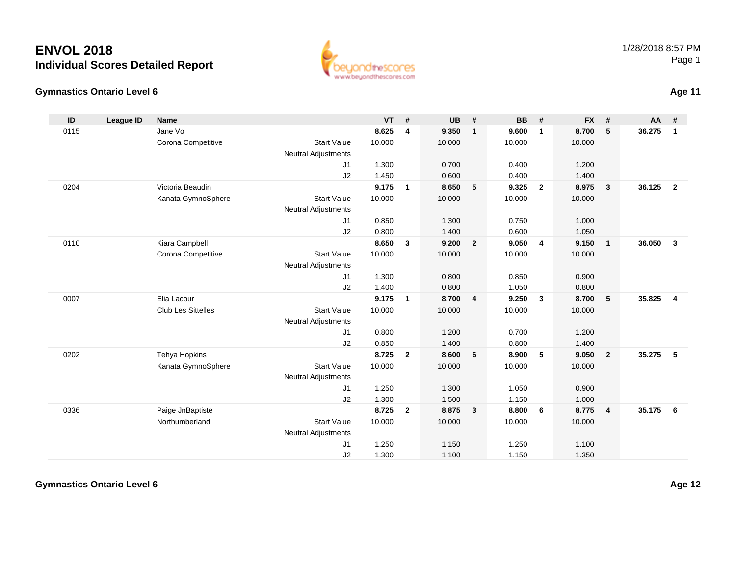#### **Gymnastics Ontario Level 6Age 11**

| $\mathsf{ID}$ | <b>League ID</b> | Name                      |                            | <b>VT</b> | #              | <b>UB</b> | #                       | <b>BB</b> | #              | <b>FX</b> | #              | AA     | #              |
|---------------|------------------|---------------------------|----------------------------|-----------|----------------|-----------|-------------------------|-----------|----------------|-----------|----------------|--------|----------------|
| 0115          |                  | Jane Vo                   |                            | 8.625     | 4              | 9.350     | $\mathbf{1}$            | 9.600     | $\mathbf{1}$   | 8.700     | 5              | 36.275 | $\mathbf{1}$   |
|               |                  | Corona Competitive        | <b>Start Value</b>         | 10.000    |                | 10.000    |                         | 10.000    |                | 10.000    |                |        |                |
|               |                  |                           | <b>Neutral Adjustments</b> |           |                |           |                         |           |                |           |                |        |                |
|               |                  |                           | J1                         | 1.300     |                | 0.700     |                         | 0.400     |                | 1.200     |                |        |                |
|               |                  |                           | J2                         | 1.450     |                | 0.600     |                         | 0.400     |                | 1.400     |                |        |                |
| 0204          |                  | Victoria Beaudin          |                            | 9.175     | $\mathbf{1}$   | 8.650     | 5                       | 9.325     | $\overline{2}$ | 8.975     | $\mathbf{3}$   | 36.125 | $\overline{2}$ |
|               |                  | Kanata GymnoSphere        | <b>Start Value</b>         | 10.000    |                | 10.000    |                         | 10.000    |                | 10.000    |                |        |                |
|               |                  |                           | <b>Neutral Adjustments</b> |           |                |           |                         |           |                |           |                |        |                |
|               |                  |                           | J1                         | 0.850     |                | 1.300     |                         | 0.750     |                | 1.000     |                |        |                |
|               |                  |                           | J2                         | 0.800     |                | 1.400     |                         | 0.600     |                | 1.050     |                |        |                |
| 0110          |                  | Kiara Campbell            |                            | 8.650     | $\mathbf{3}$   | 9.200     | $\overline{2}$          | 9.050     | $\overline{4}$ | 9.150     | $\mathbf{1}$   | 36.050 | $\mathbf{3}$   |
|               |                  | Corona Competitive        | <b>Start Value</b>         | 10.000    |                | 10.000    |                         | 10.000    |                | 10.000    |                |        |                |
|               |                  |                           | <b>Neutral Adjustments</b> |           |                |           |                         |           |                |           |                |        |                |
|               |                  |                           | J1                         | 1.300     |                | 0.800     |                         | 0.850     |                | 0.900     |                |        |                |
|               |                  |                           | J2                         | 1.400     |                | 0.800     |                         | 1.050     |                | 0.800     |                |        |                |
| 0007          |                  | Elia Lacour               |                            | 9.175     | $\mathbf{1}$   | 8.700     | $\overline{4}$          | 9.250     | $\mathbf{3}$   | 8.700     | 5              | 35.825 | $\overline{4}$ |
|               |                  | <b>Club Les Sittelles</b> | <b>Start Value</b>         | 10.000    |                | 10.000    |                         | 10.000    |                | 10.000    |                |        |                |
|               |                  |                           | <b>Neutral Adjustments</b> |           |                |           |                         |           |                |           |                |        |                |
|               |                  |                           | J1                         | 0.800     |                | 1.200     |                         | 0.700     |                | 1.200     |                |        |                |
|               |                  |                           | J2                         | 0.850     |                | 1.400     |                         | 0.800     |                | 1.400     |                |        |                |
| 0202          |                  | Tehya Hopkins             |                            | 8.725     | $\overline{2}$ | 8.600     | 6                       | 8.900     | 5              | 9.050     | $\overline{2}$ | 35.275 | 5              |
|               |                  | Kanata GymnoSphere        | <b>Start Value</b>         | 10.000    |                | 10.000    |                         | 10.000    |                | 10.000    |                |        |                |
|               |                  |                           | <b>Neutral Adjustments</b> |           |                |           |                         |           |                |           |                |        |                |
|               |                  |                           | J1                         | 1.250     |                | 1.300     |                         | 1.050     |                | 0.900     |                |        |                |
|               |                  |                           | J2                         | 1.300     |                | 1.500     |                         | 1.150     |                | 1.000     |                |        |                |
| 0336          |                  | Paige JnBaptiste          |                            | 8.725     | $\overline{2}$ | 8.875     | $\overline{\mathbf{3}}$ | 8.800     | - 6            | 8.775     | $\overline{4}$ | 35.175 | - 6            |
|               |                  | Northumberland            | <b>Start Value</b>         | 10.000    |                | 10.000    |                         | 10.000    |                | 10.000    |                |        |                |
|               |                  |                           | <b>Neutral Adjustments</b> |           |                |           |                         |           |                |           |                |        |                |
|               |                  |                           | J <sub>1</sub>             | 1.250     |                | 1.150     |                         | 1.250     |                | 1.100     |                |        |                |
|               |                  |                           | J2                         | 1.300     |                | 1.100     |                         | 1.150     |                | 1.350     |                |        |                |

#### 1/28/2018 8:57 PMPage 1

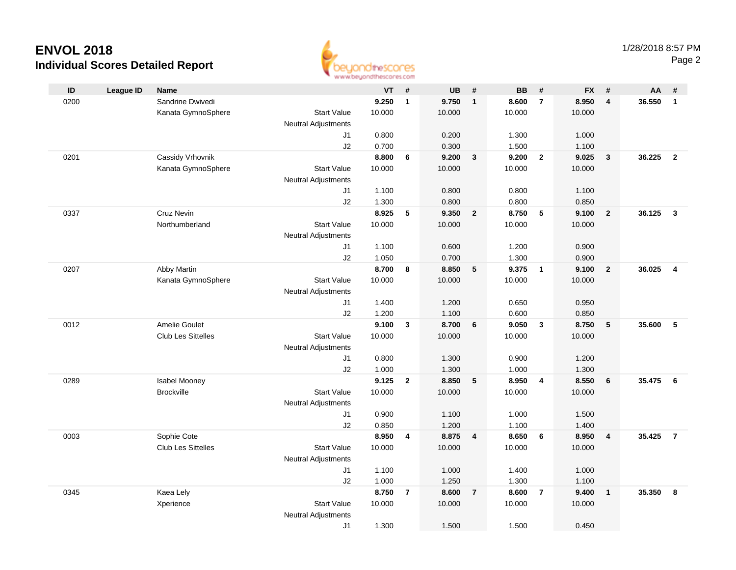

|      |                  |                           |                            | as as arrived for an increme actions. |                         |           |                         |           |                |           |                         |        |                         |
|------|------------------|---------------------------|----------------------------|---------------------------------------|-------------------------|-----------|-------------------------|-----------|----------------|-----------|-------------------------|--------|-------------------------|
| ID   | <b>League ID</b> | <b>Name</b>               |                            | <b>VT</b>                             | #                       | <b>UB</b> | #                       | <b>BB</b> | #              | <b>FX</b> | #                       | AA     | #                       |
| 0200 |                  | Sandrine Dwivedi          |                            | 9.250                                 | $\mathbf{1}$            | 9.750     | $\mathbf{1}$            | 8.600     | $\overline{7}$ | 8.950     | $\overline{4}$          | 36.550 | $\overline{1}$          |
|      |                  | Kanata GymnoSphere        | <b>Start Value</b>         | 10.000                                |                         | 10.000    |                         | 10.000    |                | 10.000    |                         |        |                         |
|      |                  |                           | <b>Neutral Adjustments</b> |                                       |                         |           |                         |           |                |           |                         |        |                         |
|      |                  |                           | J1                         | 0.800                                 |                         | 0.200     |                         | 1.300     |                | 1.000     |                         |        |                         |
|      |                  |                           | J2                         | 0.700                                 |                         | 0.300     |                         | 1.500     |                | 1.100     |                         |        |                         |
| 0201 |                  | Cassidy Vrhovnik          |                            | 8.800                                 | 6                       | 9.200     | $\mathbf{3}$            | 9.200     | $\overline{2}$ | 9.025     | $\overline{\mathbf{3}}$ | 36.225 | $\overline{2}$          |
|      |                  | Kanata GymnoSphere        | <b>Start Value</b>         | 10.000                                |                         | 10.000    |                         | 10.000    |                | 10.000    |                         |        |                         |
|      |                  |                           | <b>Neutral Adjustments</b> |                                       |                         |           |                         |           |                |           |                         |        |                         |
|      |                  |                           | J1                         | 1.100                                 |                         | 0.800     |                         | 0.800     |                | 1.100     |                         |        |                         |
|      |                  |                           | J2                         | 1.300                                 |                         | 0.800     |                         | 0.800     |                | 0.850     |                         |        |                         |
| 0337 |                  | Cruz Nevin                |                            | 8.925                                 | 5                       | 9.350     | $\overline{2}$          | 8.750     | 5              | 9.100     | $\overline{2}$          | 36.125 | $\overline{\mathbf{3}}$ |
|      |                  | Northumberland            | <b>Start Value</b>         | 10.000                                |                         | 10.000    |                         | 10.000    |                | 10.000    |                         |        |                         |
|      |                  |                           | <b>Neutral Adjustments</b> |                                       |                         |           |                         |           |                |           |                         |        |                         |
|      |                  |                           | J1                         | 1.100                                 |                         | 0.600     |                         | 1.200     |                | 0.900     |                         |        |                         |
|      |                  |                           | J2                         | 1.050                                 |                         | 0.700     |                         | 1.300     |                | 0.900     |                         |        |                         |
| 0207 |                  | Abby Martin               |                            | 8.700                                 | 8                       | 8.850     | 5                       | 9.375     | $\overline{1}$ | 9.100     | $\overline{2}$          | 36.025 | $\overline{\mathbf{4}}$ |
|      |                  | Kanata GymnoSphere        | <b>Start Value</b>         | 10.000                                |                         | 10.000    |                         | 10.000    |                | 10.000    |                         |        |                         |
|      |                  |                           | <b>Neutral Adjustments</b> |                                       |                         |           |                         |           |                |           |                         |        |                         |
|      |                  |                           | J1                         | 1.400                                 |                         | 1.200     |                         | 0.650     |                | 0.950     |                         |        |                         |
|      |                  |                           | J2                         | 1.200                                 |                         | 1.100     |                         | 0.600     |                | 0.850     |                         |        |                         |
| 0012 |                  | Amelie Goulet             |                            | 9.100                                 | $\mathbf{3}$            | 8.700     | $6\phantom{1}$          | 9.050     | $\mathbf{3}$   | 8.750     | $\sqrt{5}$              | 35.600 | 5                       |
|      |                  | <b>Club Les Sittelles</b> | <b>Start Value</b>         | 10.000                                |                         | 10.000    |                         | 10.000    |                | 10.000    |                         |        |                         |
|      |                  |                           | <b>Neutral Adjustments</b> |                                       |                         |           |                         |           |                |           |                         |        |                         |
|      |                  |                           | J1                         | 0.800                                 |                         | 1.300     |                         | 0.900     |                | 1.200     |                         |        |                         |
|      |                  |                           | J2                         | 1.000                                 |                         | 1.300     |                         | 1.000     |                | 1.300     |                         |        |                         |
| 0289 |                  | Isabel Mooney             |                            | 9.125                                 | $\mathbf{2}$            | 8.850     | 5                       | 8.950     | $\overline{4}$ | 8.550     | 6                       | 35.475 | 6                       |
|      |                  | <b>Brockville</b>         | <b>Start Value</b>         | 10.000                                |                         | 10.000    |                         | 10.000    |                | 10.000    |                         |        |                         |
|      |                  |                           | <b>Neutral Adjustments</b> |                                       |                         |           |                         |           |                |           |                         |        |                         |
|      |                  |                           | J1                         | 0.900                                 |                         | 1.100     |                         | 1.000     |                | 1.500     |                         |        |                         |
|      |                  |                           | J2                         | 0.850                                 |                         | 1.200     |                         | 1.100     |                | 1.400     |                         |        |                         |
| 0003 |                  | Sophie Cote               |                            | 8.950                                 | $\overline{\mathbf{4}}$ | 8.875     | $\overline{\mathbf{4}}$ | 8.650     | 6              | 8.950     | $\overline{4}$          | 35.425 | $\overline{7}$          |
|      |                  | Club Les Sittelles        | <b>Start Value</b>         | 10.000                                |                         | 10.000    |                         | 10.000    |                | 10.000    |                         |        |                         |
|      |                  |                           | <b>Neutral Adjustments</b> |                                       |                         |           |                         |           |                |           |                         |        |                         |
|      |                  |                           | J1                         | 1.100                                 |                         | 1.000     |                         | 1.400     |                | 1.000     |                         |        |                         |
|      |                  |                           | J2                         | 1.000                                 |                         | 1.250     |                         | 1.300     |                | 1.100     |                         |        |                         |
| 0345 |                  | Kaea Lely                 |                            | 8.750                                 | $\overline{7}$          | 8.600     | $\overline{7}$          | 8.600     | $\overline{7}$ | 9.400     | $\overline{1}$          | 35.350 | 8                       |
|      |                  | Xperience                 | <b>Start Value</b>         | 10.000                                |                         | 10.000    |                         | 10.000    |                | 10.000    |                         |        |                         |
|      |                  |                           | <b>Neutral Adjustments</b> |                                       |                         |           |                         |           |                |           |                         |        |                         |
|      |                  |                           | J1                         | 1.300                                 |                         | 1.500     |                         | 1.500     |                | 0.450     |                         |        |                         |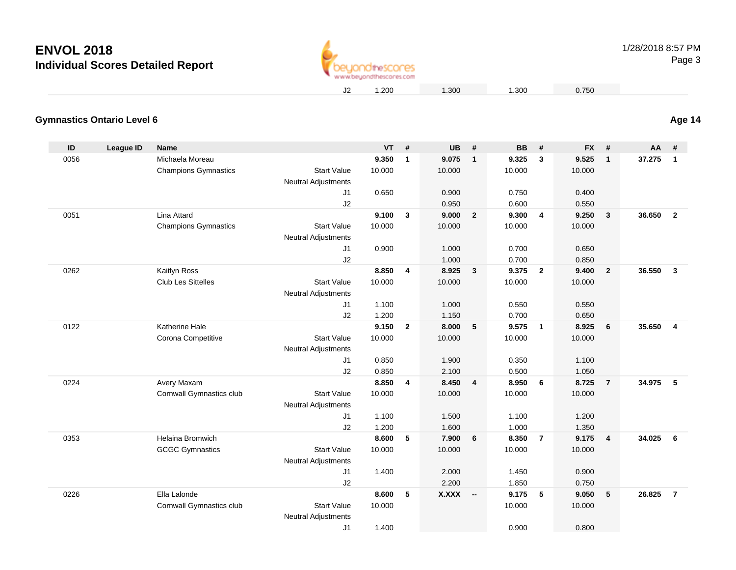

1.200 1.300 1.300 0.750

#### **Gymnastics Ontario Level 6Age 14**

| ID   | League ID | <b>Name</b>                               |                                                  | <b>VT</b> | #            | <b>UB</b>       | #              | <b>BB</b>       | #              | <b>FX</b>       | #                       | AA     | #                       |
|------|-----------|-------------------------------------------|--------------------------------------------------|-----------|--------------|-----------------|----------------|-----------------|----------------|-----------------|-------------------------|--------|-------------------------|
| 0056 |           | Michaela Moreau                           |                                                  | 9.350     | $\mathbf{1}$ | 9.075           | $\overline{1}$ | 9.325           | 3              | 9.525           | $\mathbf{1}$            | 37.275 | $\overline{\mathbf{1}}$ |
|      |           | <b>Champions Gymnastics</b>               | <b>Start Value</b>                               | 10.000    |              | 10.000          |                | 10.000          |                | 10.000          |                         |        |                         |
|      |           |                                           | <b>Neutral Adjustments</b>                       |           |              |                 |                |                 |                |                 |                         |        |                         |
|      |           |                                           | J <sub>1</sub>                                   | 0.650     |              | 0.900           |                | 0.750           |                | 0.400           |                         |        |                         |
|      |           |                                           | J2                                               |           |              | 0.950           |                | 0.600           |                | 0.550           |                         |        |                         |
| 0051 |           | Lina Attard                               |                                                  | 9.100     | $\mathbf{3}$ | 9.000           | $\overline{2}$ | 9.300           | $\overline{4}$ | 9.250           | 3                       | 36.650 | $\overline{2}$          |
|      |           | <b>Champions Gymnastics</b>               | <b>Start Value</b>                               | 10.000    |              | 10.000          |                | 10.000          |                | 10.000          |                         |        |                         |
|      |           |                                           | <b>Neutral Adjustments</b>                       |           |              |                 |                |                 |                |                 |                         |        |                         |
|      |           |                                           | J1                                               | 0.900     |              | 1.000           |                | 0.700           |                | 0.650           |                         |        |                         |
|      |           |                                           | J2                                               | 8.850     |              | 1.000           | $\mathbf{3}$   | 0.700           |                | 0.850           |                         | 36.550 |                         |
| 0262 |           | Kaitlyn Ross<br><b>Club Les Sittelles</b> | <b>Start Value</b>                               | 10.000    | 4            | 8.925<br>10.000 |                | 9.375<br>10.000 | $\overline{2}$ | 9.400<br>10.000 | $\overline{2}$          |        | $\mathbf{3}$            |
|      |           |                                           | <b>Neutral Adjustments</b>                       |           |              |                 |                |                 |                |                 |                         |        |                         |
|      |           |                                           | J1                                               | 1.100     |              | 1.000           |                | 0.550           |                | 0.550           |                         |        |                         |
|      |           |                                           | J2                                               | 1.200     |              | 1.150           |                | 0.700           |                | 0.650           |                         |        |                         |
| 0122 |           | Katherine Hale                            |                                                  | 9.150     | $\mathbf{2}$ | 8.000           | 5              | 9.575           | $\overline{1}$ | 8.925           | 6                       | 35.650 | $\overline{4}$          |
|      |           | Corona Competitive                        | <b>Start Value</b>                               | 10.000    |              | 10.000          |                | 10.000          |                | 10.000          |                         |        |                         |
|      |           |                                           | <b>Neutral Adjustments</b>                       |           |              |                 |                |                 |                |                 |                         |        |                         |
|      |           |                                           | J <sub>1</sub>                                   | 0.850     |              | 1.900           |                | 0.350           |                | 1.100           |                         |        |                         |
|      |           |                                           | J2                                               | 0.850     |              | 2.100           |                | 0.500           |                | 1.050           |                         |        |                         |
| 0224 |           | Avery Maxam                               |                                                  | 8.850     | 4            | 8.450           | $\overline{4}$ | 8.950           | 6              | 8.725           | $\overline{\mathbf{r}}$ | 34.975 | $-5$                    |
|      |           | Cornwall Gymnastics club                  | <b>Start Value</b>                               | 10.000    |              | 10.000          |                | 10.000          |                | 10.000          |                         |        |                         |
|      |           |                                           | <b>Neutral Adjustments</b>                       |           |              |                 |                |                 |                |                 |                         |        |                         |
|      |           |                                           | J1                                               | 1.100     |              | 1.500           |                | 1.100           |                | 1.200           |                         |        |                         |
|      |           |                                           | J2                                               | 1.200     |              | 1.600           |                | 1.000           |                | 1.350           |                         |        |                         |
| 0353 |           | <b>Helaina Bromwich</b>                   |                                                  | 8.600     | 5            | 7.900           | 6              | 8.350           | $\overline{7}$ | 9.175           | 4                       | 34.025 | 6                       |
|      |           | <b>GCGC Gymnastics</b>                    | <b>Start Value</b>                               | 10.000    |              | 10.000          |                | 10.000          |                | 10.000          |                         |        |                         |
|      |           |                                           | <b>Neutral Adjustments</b>                       |           |              |                 |                |                 |                |                 |                         |        |                         |
|      |           |                                           | J <sub>1</sub>                                   | 1.400     |              | 2.000           |                | 1.450           |                | 0.900           |                         |        |                         |
|      |           |                                           | J2                                               |           |              | 2.200           |                | 1.850           |                | 0.750           |                         |        |                         |
| 0226 |           | Ella Lalonde                              |                                                  | 8.600     | 5            | <b>X.XXX</b>    | $\sim$         | 9.175           | 5              | 9.050           | $5\phantom{.0}$         | 26.825 | $\overline{7}$          |
|      |           | Cornwall Gymnastics club                  | <b>Start Value</b><br><b>Neutral Adjustments</b> | 10.000    |              |                 |                | 10.000          |                | 10.000          |                         |        |                         |
|      |           |                                           | J <sub>1</sub>                                   | 1.400     |              |                 |                | 0.900           |                | 0.800           |                         |        |                         |
|      |           |                                           |                                                  |           |              |                 |                |                 |                |                 |                         |        |                         |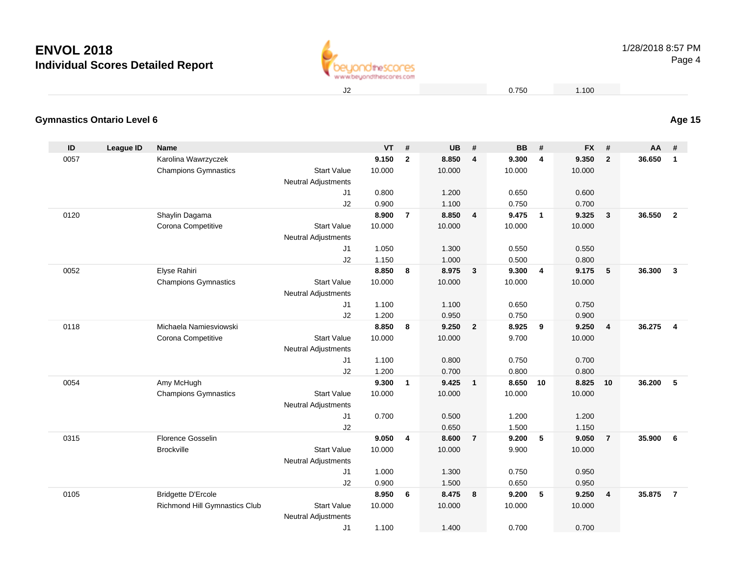

2 0.750 1.100

### **Gymnastics Ontario Level 6**

| ID   | League ID | <b>Name</b>                          |                                                  | <b>VT</b> | #              | <b>UB</b> | #                       | <b>BB</b> | #                       | <b>FX</b> | #                       | AA     | #              |
|------|-----------|--------------------------------------|--------------------------------------------------|-----------|----------------|-----------|-------------------------|-----------|-------------------------|-----------|-------------------------|--------|----------------|
| 0057 |           | Karolina Wawrzyczek                  |                                                  | 9.150     | $\overline{2}$ | 8.850     | $\overline{4}$          | 9.300     | $\overline{\mathbf{4}}$ | 9.350     | $\mathbf{2}$            | 36.650 | $\mathbf{1}$   |
|      |           | <b>Champions Gymnastics</b>          | <b>Start Value</b>                               | 10.000    |                | 10.000    |                         | 10.000    |                         | 10.000    |                         |        |                |
|      |           |                                      | <b>Neutral Adjustments</b>                       |           |                |           |                         |           |                         |           |                         |        |                |
|      |           |                                      | J1                                               | 0.800     |                | 1.200     |                         | 0.650     |                         | 0.600     |                         |        |                |
|      |           |                                      | J2                                               | 0.900     |                | 1.100     |                         | 0.750     |                         | 0.700     |                         |        |                |
| 0120 |           | Shaylin Dagama                       |                                                  | 8.900     | $\overline{7}$ | 8.850     | $\overline{4}$          | 9.475     | $\overline{1}$          | 9.325     | $\mathbf{3}$            | 36.550 | $\overline{2}$ |
|      |           | Corona Competitive                   | <b>Start Value</b>                               | 10.000    |                | 10.000    |                         | 10.000    |                         | 10.000    |                         |        |                |
|      |           |                                      | <b>Neutral Adjustments</b>                       |           |                |           |                         |           |                         |           |                         |        |                |
|      |           |                                      | J1                                               | 1.050     |                | 1.300     |                         | 0.550     |                         | 0.550     |                         |        |                |
|      |           |                                      | J2                                               | 1.150     |                | 1.000     |                         | 0.500     |                         | 0.800     |                         |        |                |
| 0052 |           | Elyse Rahiri                         |                                                  | 8.850     | 8              | 8.975     | $\overline{\mathbf{3}}$ | 9.300     | $\overline{4}$          | 9.175     | 5                       | 36.300 | $\mathbf{3}$   |
|      |           | <b>Champions Gymnastics</b>          | <b>Start Value</b>                               | 10.000    |                | 10.000    |                         | 10.000    |                         | 10.000    |                         |        |                |
|      |           |                                      | <b>Neutral Adjustments</b>                       |           |                |           |                         |           |                         |           |                         |        |                |
|      |           |                                      | J1                                               | 1.100     |                | 1.100     |                         | 0.650     |                         | 0.750     |                         |        |                |
|      |           |                                      | J2                                               | 1.200     |                | 0.950     |                         | 0.750     |                         | 0.900     |                         |        |                |
| 0118 |           | Michaela Namiesviowski               |                                                  | 8.850     | 8              | 9.250     | $\overline{2}$          | 8.925     | 9                       | 9.250     | $\overline{\mathbf{4}}$ | 36.275 | $\overline{4}$ |
|      |           | Corona Competitive                   | <b>Start Value</b>                               | 10.000    |                | 10.000    |                         | 9.700     |                         | 10.000    |                         |        |                |
|      |           |                                      | <b>Neutral Adjustments</b>                       |           |                |           |                         |           |                         |           |                         |        |                |
|      |           |                                      | J1                                               | 1.100     |                | 0.800     |                         | 0.750     |                         | 0.700     |                         |        |                |
|      |           |                                      | J2                                               | 1.200     |                | 0.700     |                         | 0.800     |                         | 0.800     |                         |        |                |
| 0054 |           | Amy McHugh                           |                                                  | 9.300     | $\mathbf{1}$   | 9.425     | $\overline{1}$          | 8.650     | 10                      | 8.825     | 10                      | 36.200 | 5              |
|      |           | <b>Champions Gymnastics</b>          | <b>Start Value</b><br><b>Neutral Adjustments</b> | 10.000    |                | 10.000    |                         | 10.000    |                         | 10.000    |                         |        |                |
|      |           |                                      | J <sub>1</sub>                                   | 0.700     |                | 0.500     |                         | 1.200     |                         | 1.200     |                         |        |                |
|      |           |                                      | J2                                               |           |                | 0.650     |                         | 1.500     |                         | 1.150     |                         |        |                |
| 0315 |           | Florence Gosselin                    |                                                  | 9.050     | 4              | 8.600     | $\overline{7}$          | 9.200     | 5                       | 9.050     | $\overline{7}$          | 35.900 | 6              |
|      |           | <b>Brockville</b>                    | <b>Start Value</b>                               | 10.000    |                | 10.000    |                         | 9.900     |                         | 10.000    |                         |        |                |
|      |           |                                      | <b>Neutral Adjustments</b>                       |           |                |           |                         |           |                         |           |                         |        |                |
|      |           |                                      | J1                                               | 1.000     |                | 1.300     |                         | 0.750     |                         | 0.950     |                         |        |                |
|      |           |                                      | J2                                               | 0.900     |                | 1.500     |                         | 0.650     |                         | 0.950     |                         |        |                |
| 0105 |           | <b>Bridgette D'Ercole</b>            |                                                  | 8.950     | 6              | 8.475     | 8                       | 9.200     | 5                       | 9.250     | 4                       | 35.875 | $\overline{7}$ |
|      |           | <b>Richmond Hill Gymnastics Club</b> | <b>Start Value</b>                               | 10.000    |                | 10.000    |                         | 10.000    |                         | 10.000    |                         |        |                |
|      |           |                                      | <b>Neutral Adjustments</b>                       |           |                |           |                         |           |                         |           |                         |        |                |
|      |           |                                      | J1                                               | 1.100     |                | 1.400     |                         | 0.700     |                         | 0.700     |                         |        |                |

**Age 15**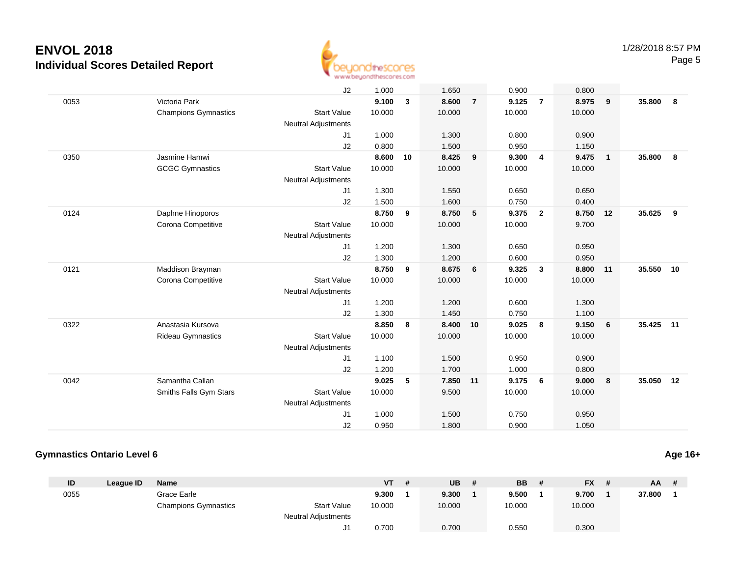

|      |                             | J2                         | 1.000  |    | 1.650  |                | 0.900  |                | 0.800  |                |        |    |
|------|-----------------------------|----------------------------|--------|----|--------|----------------|--------|----------------|--------|----------------|--------|----|
| 0053 | Victoria Park               |                            | 9.100  | 3  | 8.600  | $\overline{7}$ | 9.125  | $\overline{7}$ | 8.975  | 9              | 35.800 | 8  |
|      | <b>Champions Gymnastics</b> | <b>Start Value</b>         | 10.000 |    | 10.000 |                | 10.000 |                | 10.000 |                |        |    |
|      |                             | <b>Neutral Adjustments</b> |        |    |        |                |        |                |        |                |        |    |
|      |                             | J1                         | 1.000  |    | 1.300  |                | 0.800  |                | 0.900  |                |        |    |
|      |                             | J2                         | 0.800  |    | 1.500  |                | 0.950  |                | 1.150  |                |        |    |
| 0350 | Jasmine Hamwi               |                            | 8.600  | 10 | 8.425  | 9              | 9.300  | $\overline{4}$ | 9.475  | $\overline{1}$ | 35.800 | 8  |
|      | <b>GCGC Gymnastics</b>      | <b>Start Value</b>         | 10.000 |    | 10.000 |                | 10.000 |                | 10.000 |                |        |    |
|      |                             | <b>Neutral Adjustments</b> |        |    |        |                |        |                |        |                |        |    |
|      |                             | J1                         | 1.300  |    | 1.550  |                | 0.650  |                | 0.650  |                |        |    |
|      |                             | J2                         | 1.500  |    | 1.600  |                | 0.750  |                | 0.400  |                |        |    |
| 0124 | Daphne Hinoporos            |                            | 8.750  | 9  | 8.750  | 5              | 9.375  | $\overline{2}$ | 8.750  | 12             | 35.625 | 9  |
|      | Corona Competitive          | <b>Start Value</b>         | 10.000 |    | 10.000 |                | 10.000 |                | 9.700  |                |        |    |
|      |                             | <b>Neutral Adjustments</b> |        |    |        |                |        |                |        |                |        |    |
|      |                             | J1                         | 1.200  |    | 1.300  |                | 0.650  |                | 0.950  |                |        |    |
|      |                             | J2                         | 1.300  |    | 1.200  |                | 0.600  |                | 0.950  |                |        |    |
| 0121 | Maddison Brayman            |                            | 8.750  | 9  | 8.675  | 6              | 9.325  | $\mathbf{3}$   | 8.800  | 11             | 35.550 | 10 |
|      | Corona Competitive          | <b>Start Value</b>         | 10.000 |    | 10.000 |                | 10.000 |                | 10.000 |                |        |    |
|      |                             | <b>Neutral Adjustments</b> |        |    |        |                |        |                |        |                |        |    |
|      |                             | J1                         | 1.200  |    | 1.200  |                | 0.600  |                | 1.300  |                |        |    |
|      |                             | J2                         | 1.300  |    | 1.450  |                | 0.750  |                | 1.100  |                |        |    |
| 0322 | Anastasia Kursova           |                            | 8.850  | 8  | 8.400  | 10             | 9.025  | 8              | 9.150  | 6              | 35.425 | 11 |
|      | <b>Rideau Gymnastics</b>    | <b>Start Value</b>         | 10.000 |    | 10.000 |                | 10.000 |                | 10.000 |                |        |    |
|      |                             | <b>Neutral Adjustments</b> |        |    |        |                |        |                |        |                |        |    |
|      |                             | J1                         | 1.100  |    | 1.500  |                | 0.950  |                | 0.900  |                |        |    |
|      |                             | J2                         | 1.200  |    | 1.700  |                | 1.000  |                | 0.800  |                |        |    |
| 0042 | Samantha Callan             |                            | 9.025  | 5  | 7.850  | 11             | 9.175  | 6              | 9.000  | 8              | 35.050 | 12 |
|      | Smiths Falls Gym Stars      | <b>Start Value</b>         | 10.000 |    | 9.500  |                | 10.000 |                | 10.000 |                |        |    |
|      |                             | <b>Neutral Adjustments</b> |        |    |        |                |        |                |        |                |        |    |
|      |                             | J1                         | 1.000  |    | 1.500  |                | 0.750  |                | 0.950  |                |        |    |
|      |                             | J2                         | 0.950  |    | 1.800  |                | 0.900  |                | 1.050  |                |        |    |
|      |                             |                            |        |    |        |                |        |                |        |                |        |    |

#### **Gymnastics Ontario Level 6**

| ID   | League ID | <b>Name</b>                 |                            | VT     | -# | <b>UB</b> | <b>BB</b> | <b>FX</b> | # | $AA$ # |  |
|------|-----------|-----------------------------|----------------------------|--------|----|-----------|-----------|-----------|---|--------|--|
| 0055 |           | Grace Earle                 |                            | 9.300  |    | 9.300     | 9.500     | 9.700     |   | 37.800 |  |
|      |           | <b>Champions Gymnastics</b> | <b>Start Value</b>         | 10.000 |    | 10.000    | 10.000    | 10.000    |   |        |  |
|      |           |                             | <b>Neutral Adjustments</b> |        |    |           |           |           |   |        |  |
|      |           |                             |                            | 0.700  |    | 0.700     | 0.550     | 0.300     |   |        |  |

**Age 16+**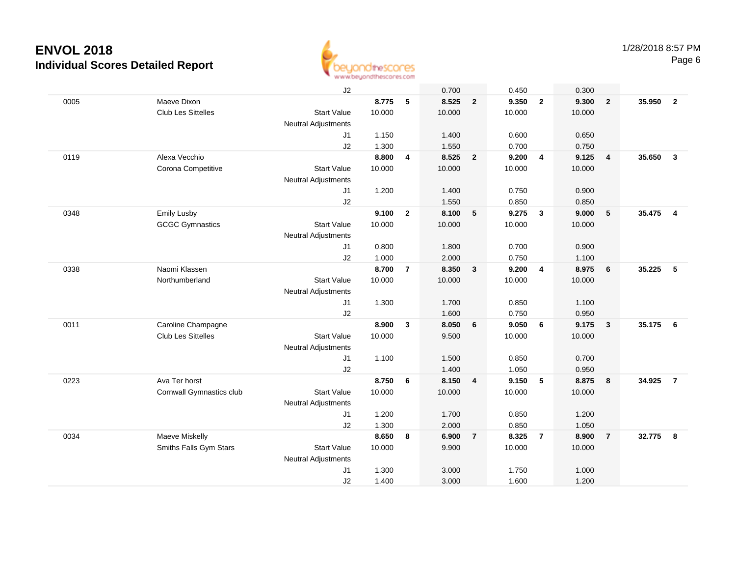

|      |                          | J2                         |        |                | 0.700  |                         | 0.450  |                         | 0.300  |                         |          |                |
|------|--------------------------|----------------------------|--------|----------------|--------|-------------------------|--------|-------------------------|--------|-------------------------|----------|----------------|
| 0005 | Maeve Dixon              |                            | 8.775  | 5              | 8.525  | $\overline{\mathbf{2}}$ | 9.350  | $\overline{2}$          | 9.300  | $\overline{2}$          | 35.950   | $\overline{2}$ |
|      | Club Les Sittelles       | <b>Start Value</b>         | 10.000 |                | 10.000 |                         | 10.000 |                         | 10.000 |                         |          |                |
|      |                          | <b>Neutral Adjustments</b> |        |                |        |                         |        |                         |        |                         |          |                |
|      |                          | J1                         | 1.150  |                | 1.400  |                         | 0.600  |                         | 0.650  |                         |          |                |
|      |                          | J2                         | 1.300  |                | 1.550  |                         | 0.700  |                         | 0.750  |                         |          |                |
| 0119 | Alexa Vecchio            |                            | 8.800  | 4              | 8.525  | $\overline{\mathbf{2}}$ | 9.200  | $\overline{4}$          | 9.125  | $\overline{\mathbf{4}}$ | 35.650   | $\mathbf{3}$   |
|      | Corona Competitive       | <b>Start Value</b>         | 10.000 |                | 10.000 |                         | 10.000 |                         | 10.000 |                         |          |                |
|      |                          | <b>Neutral Adjustments</b> |        |                |        |                         |        |                         |        |                         |          |                |
|      |                          | J1                         | 1.200  |                | 1.400  |                         | 0.750  |                         | 0.900  |                         |          |                |
|      |                          | J2                         |        |                | 1.550  |                         | 0.850  |                         | 0.850  |                         |          |                |
| 0348 | <b>Emily Lusby</b>       |                            | 9.100  | $\overline{2}$ | 8.100  | 5                       | 9.275  | $\overline{\mathbf{3}}$ | 9.000  | 5                       | 35.475   | $\overline{4}$ |
|      | <b>GCGC Gymnastics</b>   | <b>Start Value</b>         | 10.000 |                | 10.000 |                         | 10.000 |                         | 10.000 |                         |          |                |
|      |                          | <b>Neutral Adjustments</b> |        |                |        |                         |        |                         |        |                         |          |                |
|      |                          | J1                         | 0.800  |                | 1.800  |                         | 0.700  |                         | 0.900  |                         |          |                |
|      |                          | J <sub>2</sub>             | 1.000  |                | 2.000  |                         | 0.750  |                         | 1.100  |                         |          |                |
| 0338 | Naomi Klassen            |                            | 8.700  | $\overline{7}$ | 8.350  | $\mathbf{3}$            | 9.200  | $\overline{4}$          | 8.975  | 6                       | 35.225   | 5              |
|      | Northumberland           | <b>Start Value</b>         | 10.000 |                | 10.000 |                         | 10.000 |                         | 10.000 |                         |          |                |
|      |                          | <b>Neutral Adjustments</b> |        |                |        |                         |        |                         |        |                         |          |                |
|      |                          | J1                         | 1.300  |                | 1.700  |                         | 0.850  |                         | 1.100  |                         |          |                |
|      |                          | J2                         |        |                | 1.600  |                         | 0.750  |                         | 0.950  |                         |          |                |
| 0011 | Caroline Champagne       |                            | 8.900  | $\mathbf{3}$   | 8.050  | 6                       | 9.050  | 6                       | 9.175  | $\overline{\mathbf{3}}$ | 35.175   | 6              |
|      | Club Les Sittelles       | <b>Start Value</b>         | 10.000 |                | 9.500  |                         | 10.000 |                         | 10.000 |                         |          |                |
|      |                          |                            |        |                |        |                         |        |                         |        |                         |          |                |
|      |                          | <b>Neutral Adjustments</b> |        |                |        |                         |        |                         |        |                         |          |                |
|      |                          | J1                         | 1.100  |                | 1.500  |                         | 0.850  |                         | 0.700  |                         |          |                |
|      |                          | J2                         |        |                | 1.400  |                         | 1.050  |                         | 0.950  |                         |          |                |
| 0223 | Ava Ter horst            |                            | 8.750  | 6              | 8.150  | $\overline{4}$          | 9.150  | 5                       | 8.875  | 8                       | 34.925   | $\overline{7}$ |
|      | Cornwall Gymnastics club | <b>Start Value</b>         | 10.000 |                | 10.000 |                         | 10.000 |                         | 10.000 |                         |          |                |
|      |                          | Neutral Adjustments        |        |                |        |                         |        |                         |        |                         |          |                |
|      |                          | J1                         | 1.200  |                | 1.700  |                         | 0.850  |                         | 1.200  |                         |          |                |
|      |                          | J2                         | 1.300  |                | 2.000  |                         | 0.850  |                         | 1.050  |                         |          |                |
| 0034 | Maeve Miskelly           |                            | 8.650  | 8              | 6.900  | $\overline{7}$          | 8.325  | $\overline{7}$          | 8.900  | $\overline{7}$          | 32.775 8 |                |
|      | Smiths Falls Gym Stars   | <b>Start Value</b>         | 10.000 |                | 9.900  |                         | 10.000 |                         | 10.000 |                         |          |                |
|      |                          | <b>Neutral Adjustments</b> |        |                |        |                         |        |                         |        |                         |          |                |
|      |                          | J <sub>1</sub>             | 1.300  |                | 3.000  |                         | 1.750  |                         | 1.000  |                         |          |                |
|      |                          | J2                         | 1.400  |                | 3.000  |                         | 1.600  |                         | 1.200  |                         |          |                |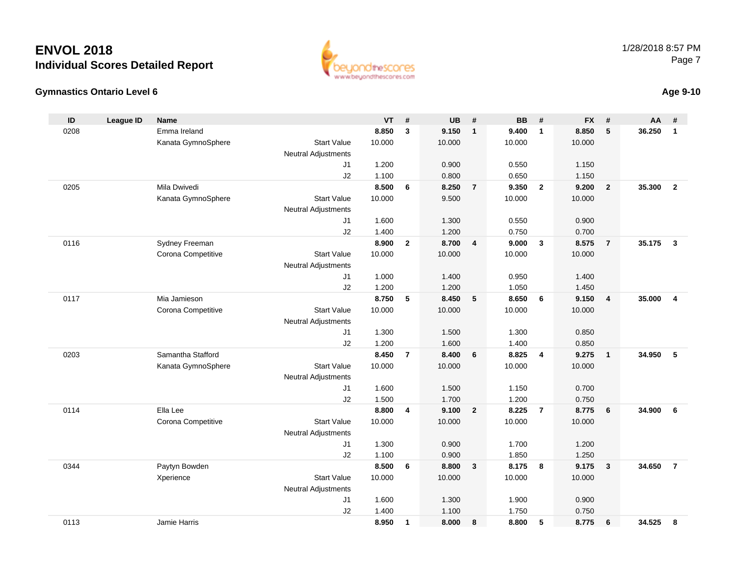#### **Gymnastics Ontario Level 6Age 9-10**

0113

|                    | VT.    | -# | <b>UB</b> | # |   |
|--------------------|--------|----|-----------|---|---|
|                    | 8.850  | -3 | 9.150     | 1 |   |
| <b>Start Value</b> | 10.000 |    | 10.000    |   | 1 |
| l Adjustments      |        |    |           |   |   |
| J1                 | 1.200  |    | 0.900     |   |   |
|                    |        |    |           |   |   |

www.beuondthescores.com

| ID   | <b>League ID</b> | <b>Name</b>        |                            | VT     | $\pmb{\#}$     | <b>UB</b> | $\pmb{\#}$              | <b>BB</b> | $\#$           | <b>FX</b> | #                       | AA       | #                        |
|------|------------------|--------------------|----------------------------|--------|----------------|-----------|-------------------------|-----------|----------------|-----------|-------------------------|----------|--------------------------|
| 0208 |                  | Emma Ireland       |                            | 8.850  | $\mathbf{3}$   | 9.150     | $\mathbf{1}$            | 9.400     | $\mathbf{1}$   | 8.850     | 5                       | 36.250   | $\overline{1}$           |
|      |                  | Kanata GymnoSphere | <b>Start Value</b>         | 10.000 |                | 10.000    |                         | 10.000    |                | 10.000    |                         |          |                          |
|      |                  |                    | <b>Neutral Adjustments</b> |        |                |           |                         |           |                |           |                         |          |                          |
|      |                  |                    | J1                         | 1.200  |                | 0.900     |                         | 0.550     |                | 1.150     |                         |          |                          |
|      |                  |                    | J2                         | 1.100  |                | 0.800     |                         | 0.650     |                | 1.150     |                         |          |                          |
| 0205 |                  | Mila Dwivedi       |                            | 8.500  | 6              | 8.250     | $\overline{7}$          | 9.350     | $\overline{2}$ | 9.200     | $\overline{\mathbf{2}}$ | 35.300   | $\overline{\mathbf{2}}$  |
|      |                  | Kanata GymnoSphere | <b>Start Value</b>         | 10.000 |                | 9.500     |                         | 10.000    |                | 10.000    |                         |          |                          |
|      |                  |                    | <b>Neutral Adjustments</b> |        |                |           |                         |           |                |           |                         |          |                          |
|      |                  |                    | J1                         | 1.600  |                | 1.300     |                         | 0.550     |                | 0.900     |                         |          |                          |
|      |                  |                    | J2                         | 1.400  |                | 1.200     |                         | 0.750     |                | 0.700     |                         |          |                          |
| 0116 |                  | Sydney Freeman     |                            | 8.900  | $\overline{2}$ | 8.700     | $\overline{\mathbf{4}}$ | 9.000     | 3              | 8.575     | $\overline{7}$          | 35.175 3 |                          |
|      |                  | Corona Competitive | <b>Start Value</b>         | 10.000 |                | 10.000    |                         | 10.000    |                | 10.000    |                         |          |                          |
|      |                  |                    | <b>Neutral Adjustments</b> |        |                |           |                         |           |                |           |                         |          |                          |
|      |                  |                    | J1                         | 1.000  |                | 1.400     |                         | 0.950     |                | 1.400     |                         |          |                          |
|      |                  |                    | J2                         | 1.200  |                | 1.200     |                         | 1.050     |                | 1.450     |                         |          |                          |
| 0117 |                  | Mia Jamieson       |                            | 8.750  | 5              | 8.450     | 5                       | 8.650     | 6              | 9.150     | $\overline{4}$          | 35.000   | $\overline{4}$           |
|      |                  | Corona Competitive | <b>Start Value</b>         | 10.000 |                | 10.000    |                         | 10.000    |                | 10.000    |                         |          |                          |
|      |                  |                    | Neutral Adjustments        |        |                |           |                         |           |                |           |                         |          |                          |
|      |                  |                    | J1                         | 1.300  |                | 1.500     |                         | 1.300     |                | 0.850     |                         |          |                          |
|      |                  |                    | J2                         | 1.200  |                | 1.600     |                         | 1.400     |                | 0.850     |                         |          |                          |
| 0203 |                  | Samantha Stafford  |                            | 8.450  | $\overline{7}$ | 8.400     | 6                       | 8.825     | 4              | 9.275     | $\overline{\mathbf{1}}$ | 34.950   | $\overline{\phantom{0}}$ |
|      |                  | Kanata GymnoSphere | <b>Start Value</b>         | 10.000 |                | 10.000    |                         | 10.000    |                | 10.000    |                         |          |                          |
|      |                  |                    | <b>Neutral Adjustments</b> |        |                |           |                         |           |                |           |                         |          |                          |
|      |                  |                    | J1                         | 1.600  |                | 1.500     |                         | 1.150     |                | 0.700     |                         |          |                          |
|      |                  |                    | J2                         | 1.500  |                | 1.700     |                         | 1.200     |                | 0.750     |                         |          |                          |
| 0114 |                  | Ella Lee           |                            | 8.800  | 4              | 9.100     | $\overline{2}$          | 8.225     | $\overline{7}$ | 8.775     | $6\overline{6}$         | 34.900   | 6                        |
|      |                  | Corona Competitive | <b>Start Value</b>         | 10.000 |                | 10.000    |                         | 10.000    |                | 10.000    |                         |          |                          |
|      |                  |                    | <b>Neutral Adjustments</b> |        |                |           |                         |           |                |           |                         |          |                          |
|      |                  |                    | J1                         | 1.300  |                | 0.900     |                         | 1.700     |                | 1.200     |                         |          |                          |
|      |                  |                    | J2                         | 1.100  |                | 0.900     |                         | 1.850     |                | 1.250     |                         |          |                          |
| 0344 |                  | Paytyn Bowden      |                            | 8.500  | 6              | 8.800     | $\mathbf{3}$            | 8.175     | 8              | 9.175     | $\overline{\mathbf{3}}$ | 34.650   | $\overline{7}$           |
|      |                  | Xperience          | <b>Start Value</b>         | 10.000 |                | 10.000    |                         | 10.000    |                | 10.000    |                         |          |                          |
|      |                  |                    | <b>Neutral Adjustments</b> |        |                |           |                         |           |                |           |                         |          |                          |
|      |                  |                    | J1                         | 1.600  |                | 1.300     |                         | 1.900     |                | 0.900     |                         |          |                          |
|      |                  |                    | J2                         | 1.400  |                | 1.100     |                         | 1.750     |                | 0.750     |                         |          |                          |

Jamie Harris **8.950 <sup>1</sup> 8.000 <sup>8</sup> 8.800 <sup>5</sup> 8.775 <sup>6</sup> 34.525 <sup>8</sup>**